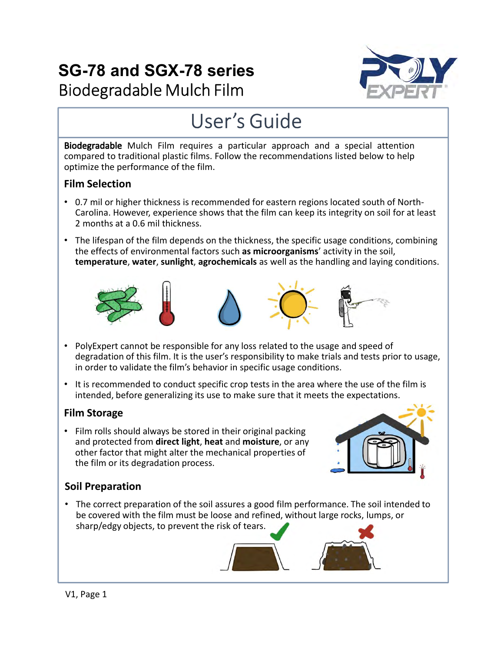# **SG-78 and SGX-78 series** Biodegradable Mulch Film



# User's Guide

Biodegradable Mulch Film requires a particular approach and a special attention compared to traditional plastic films. Follow the recommendations listed below to help optimize the performance of the film.

#### Film Selection

- 0.7 mil or higher thickness is recommended for eastern regions located south of North-Carolina. However, experience shows that the film can keep its integrity on soil for at least 2 months at a 0.6 mil thickness.
- The lifespan of the film depends on the thickness, the specific usage conditions, combining<br>the effects of environmental factors such as microorganisms' activity in the soil,<br>temperature, water, sunlight, agrochemicals as • The lifespan of the film depends on the thickness, the specific usage conditions, combining the effects of environmental factors such as microorganisms' activity in the soil, temperature, water, sunlight, agrochemicals as well as the handling and laying conditions.









- PolyExpert cannot be responsible for any loss related to the usage and speed of degradation of this film. It is the user's responsibility to make trials and tests prior to usage, in order to validate the film's behavior in specific usage conditions.
- It is recommended to conduct specific crop tests in the area where the use of the film is intended, before generalizing its use to make sure that it meets the expectations.

# Film Storage

• Film rolls should always be stored in their original packing other factor that might alter the mechanical properties of the film or its degradation process.



# Soil Preparation

• The correct preparation of the soil assures a good film performance. The soil intended to be covered with the film must be loose and refined, without large rocks, lumps, or sharp/edgy objects, to prevent the risk of tears.